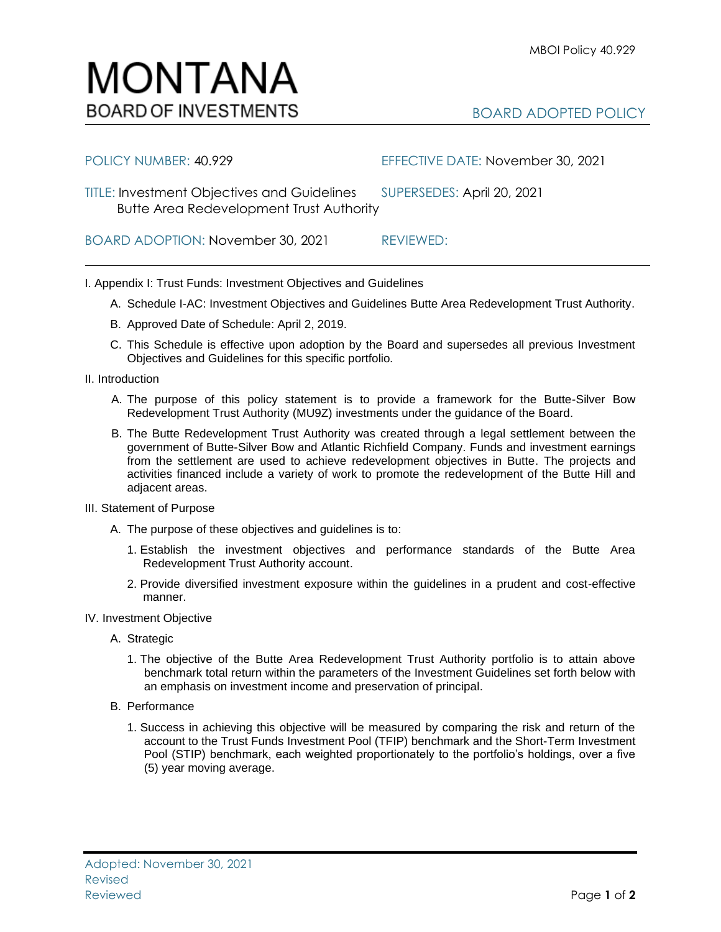BOARD ADOPTED POLICY



## POLICY NUMBER: 40.929 EFFECTIVE DATE: November 30, 2021

TITLE: Investment Objectives and Guidelines SUPERSEDES: April 20, 2021 Butte Area Redevelopment Trust Authority

BOARD ADOPTION: November 30, 2021 REVIEWED:

I. Appendix I: Trust Funds: Investment Objectives and Guidelines

- A. Schedule I-AC: Investment Objectives and Guidelines Butte Area Redevelopment Trust Authority.
- B. Approved Date of Schedule: April 2, 2019.
- C. This Schedule is effective upon adoption by the Board and supersedes all previous Investment Objectives and Guidelines for this specific portfolio*.*
- II. Introduction
	- A. The purpose of this policy statement is to provide a framework for the Butte-Silver Bow Redevelopment Trust Authority (MU9Z) investments under the guidance of the Board.
	- B. The Butte Redevelopment Trust Authority was created through a legal settlement between the government of Butte-Silver Bow and Atlantic Richfield Company. Funds and investment earnings from the settlement are used to achieve redevelopment objectives in Butte. The projects and activities financed include a variety of work to promote the redevelopment of the Butte Hill and adjacent areas.
- III. Statement of Purpose
	- A. The purpose of these objectives and guidelines is to:
		- 1. Establish the investment objectives and performance standards of the Butte Area Redevelopment Trust Authority account.
		- 2. Provide diversified investment exposure within the guidelines in a prudent and cost-effective manner.
- IV. Investment Objective
	- A. Strategic
		- 1. The objective of the Butte Area Redevelopment Trust Authority portfolio is to attain above benchmark total return within the parameters of the Investment Guidelines set forth below with an emphasis on investment income and preservation of principal.
	- B. Performance
		- 1. Success in achieving this objective will be measured by comparing the risk and return of the account to the Trust Funds Investment Pool (TFIP) benchmark and the Short-Term Investment Pool (STIP) benchmark, each weighted proportionately to the portfolio's holdings, over a five (5) year moving average.

MONTANA **BOARD OF INVESTMENTS**